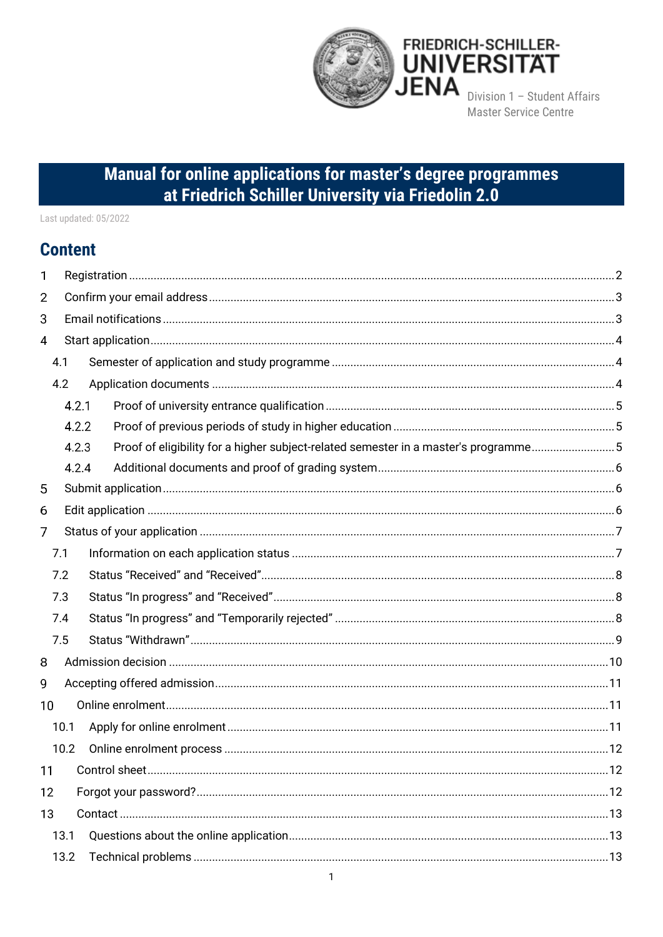

# Manual for online applications for master's degree programmes at Friedrich Schiller University via Friedolin 2.0

Last updated: 05/2022

## **Content**

| 1  |      |       |                                                                                     |  |
|----|------|-------|-------------------------------------------------------------------------------------|--|
| 2  |      |       |                                                                                     |  |
| 3  |      |       |                                                                                     |  |
| 4  |      |       |                                                                                     |  |
|    | 4.1  |       |                                                                                     |  |
|    | 4.2  |       |                                                                                     |  |
|    |      | 4.2.1 |                                                                                     |  |
|    |      | 4.2.2 |                                                                                     |  |
|    |      | 4.2.3 | Proof of eligibility for a higher subject-related semester in a master's programme5 |  |
|    |      | 4.2.4 |                                                                                     |  |
| 5  |      |       |                                                                                     |  |
| 6  |      |       |                                                                                     |  |
| 7  |      |       |                                                                                     |  |
|    | 7.1  |       |                                                                                     |  |
|    | 7.2  |       |                                                                                     |  |
|    | 7.3  |       |                                                                                     |  |
|    | 7.4  |       |                                                                                     |  |
|    | 7.5  |       |                                                                                     |  |
| 8  |      |       |                                                                                     |  |
| 9  |      |       |                                                                                     |  |
| 10 |      |       |                                                                                     |  |
|    | 10.1 |       |                                                                                     |  |
|    | 10.2 |       |                                                                                     |  |
| 11 |      |       |                                                                                     |  |
| 12 |      |       |                                                                                     |  |
| 13 |      |       |                                                                                     |  |
|    | 13.1 |       |                                                                                     |  |
|    | 13.2 |       |                                                                                     |  |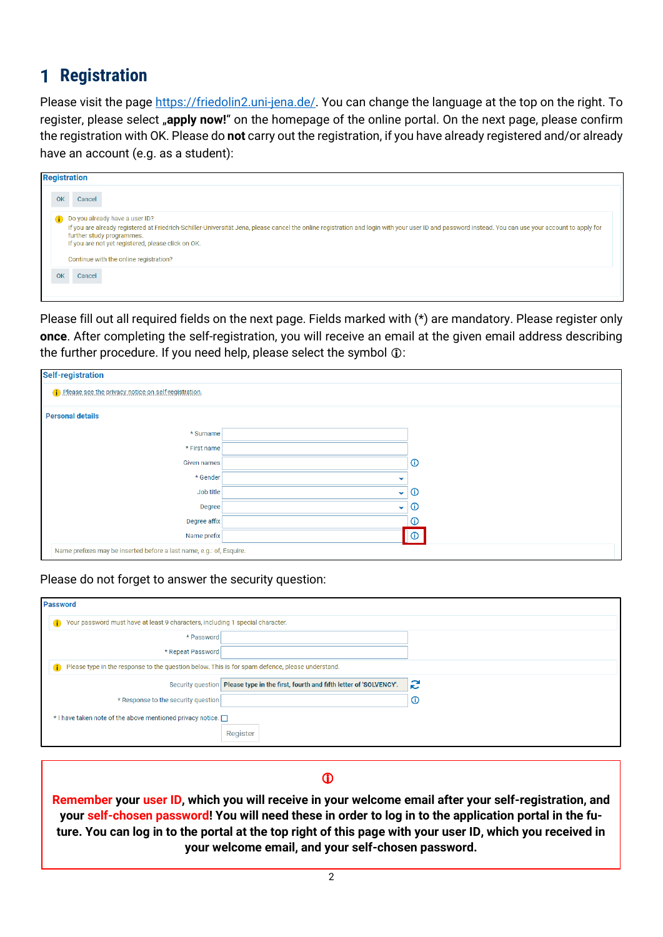# <span id="page-1-0"></span>**1** Registration

Please visit the page [https://friedolin2.uni-jena.de/.](https://friedolin2.uni-jena.de/) You can change the language at the top on the right. To register, please select "apply now!" on the homepage of the online portal. On the next page, please confirm the registration with OK. Please do **not** carry out the registration, if you have already registered and/or already have an account (e.g. as a student):

|    | <b>Registration</b>                                                                                                                                                                                                                                                                                                                                                |
|----|--------------------------------------------------------------------------------------------------------------------------------------------------------------------------------------------------------------------------------------------------------------------------------------------------------------------------------------------------------------------|
| OK | Cancel                                                                                                                                                                                                                                                                                                                                                             |
|    | Do you already have a user ID?<br>If you are already registered at Friedrich-Schiller-Universität Jena, please cancel the online registration and login with your user ID and password instead. You can use your account to apply for<br>further study programmes.<br>If you are not yet registered, please click on OK.<br>Continue with the online registration? |
| OK | Cancel                                                                                                                                                                                                                                                                                                                                                             |

Please fill out all required fields on the next page. Fields marked with (\*) are mandatory. Please register only **once**. After completing the self-registration, you will receive an email at the given email address describing the further procedure. If you need help, please select the symbol  $\mathbb O$ :

| <b>Self-registration</b>                                             |              |                |
|----------------------------------------------------------------------|--------------|----------------|
| (i) Please see the privacy notice on self-registration.              |              |                |
| <b>Personal details</b>                                              |              |                |
| * Surname                                                            |              |                |
| * First name                                                         |              |                |
| Given names                                                          |              | $^\circledR$   |
| * Gender                                                             | $\checkmark$ |                |
| Job title                                                            | $\checkmark$ | $\circledcirc$ |
| Degree                                                               | $\checkmark$ | $\odot$        |
| Degree affix                                                         |              | $^\copyright$  |
| Name prefix                                                          |              | $\odot$        |
| Name prefixes may be inserted before a last name, e.g.: of, Esquire. |              |                |

Please do not forget to answer the security question:

| <b>Password</b>                                                                                      |                                                                                    |              |
|------------------------------------------------------------------------------------------------------|------------------------------------------------------------------------------------|--------------|
| Your password must have at least 9 characters, including 1 special character.<br>$\bullet$           |                                                                                    |              |
| * Password                                                                                           |                                                                                    |              |
| * Repeat Password                                                                                    |                                                                                    |              |
| Please type in the response to the question below. This is for spam defence, please understand.<br>œ |                                                                                    |              |
|                                                                                                      | Security question Please type in the first, fourth and fifth letter of 'SOLVENCY'. | S            |
| * Response to the security question                                                                  |                                                                                    | $^\circledR$ |
| * I have taken note of the above mentioned privacy notice.                                           |                                                                                    |              |
|                                                                                                      | Register                                                                           |              |

### $\mathbf{D}$

**Remember your user ID, which you will receive in your welcome email after your self-registration, and your self-chosen password! You will need these in order to log in to the application portal in the future. You can log in to the portal at the top right of this page with your user ID, which you received in your welcome email, and your self-chosen password.**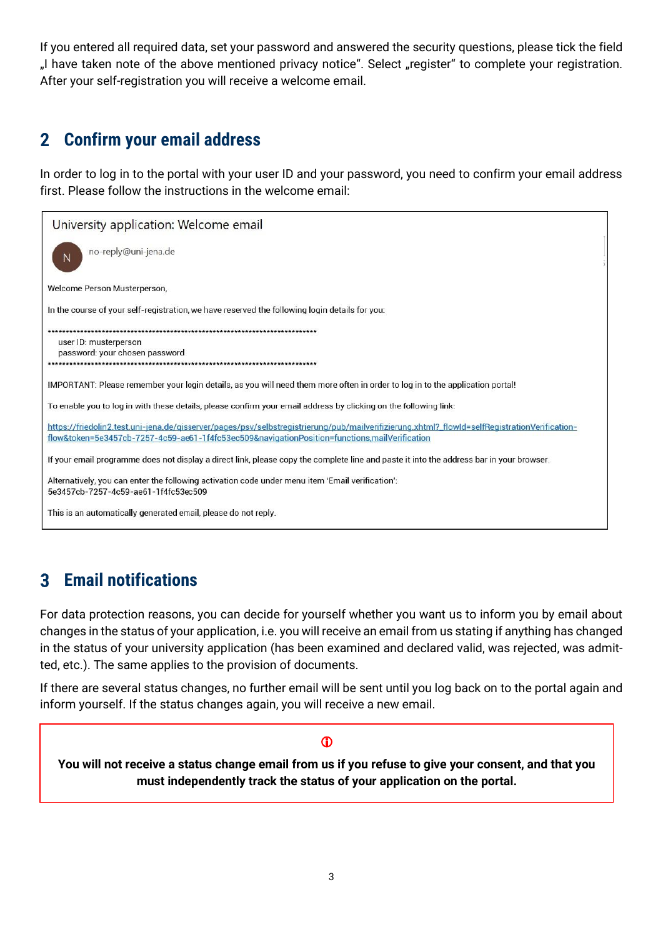If you entered all required data, set your password and answered the security questions, please tick the field "I have taken note of the above mentioned privacy notice". Select "register" to complete your registration. After your self-registration you will receive a welcome email.

#### <span id="page-2-0"></span>**Confirm your email address**  $\mathbf{2}$

In order to log in to the portal with your user ID and your password, you need to confirm your email address first. Please follow the instructions in the welcome email:

| University application: Welcome email                                                                                                                                                                                                          |
|------------------------------------------------------------------------------------------------------------------------------------------------------------------------------------------------------------------------------------------------|
| no-reply@uni-jena.de<br>N                                                                                                                                                                                                                      |
| Welcome Person Musterperson,                                                                                                                                                                                                                   |
| In the course of your self-registration, we have reserved the following login details for you:                                                                                                                                                 |
| user ID: musterperson<br>password: your chosen password<br>**************************************                                                                                                                                              |
| IMPORTANT: Please remember your login details, as you will need them more often in order to log in to the application portal!                                                                                                                  |
| To enable you to log in with these details, please confirm your email address by clicking on the following link:                                                                                                                               |
| https://friedolin2.test.uni-jena.de/gisserver/pages/psy/selbstregistrierung/pub/mailverifizierung.xhtml?_flowId=selfRegistrationVerification-<br>flow&token=5e3457cb-7257-4c59-ae61-1f4fc53ec509&navigationPosition=functions,mailVerification |
| If your email programme does not display a direct link, please copy the complete line and paste it into the address bar in your browser.                                                                                                       |
| Alternatively, you can enter the following activation code under menu item 'Email verification':<br>5e3457cb-7257-4c59-ae61-1f4fc53ec509                                                                                                       |
| This is an automatically generated email, please do not reply.                                                                                                                                                                                 |

#### <span id="page-2-1"></span>**Email notifications**  $\overline{\mathbf{3}}$

For data protection reasons, you can decide for yourself whether you want us to inform you by email about changes in the status of your application, i.e. you will receive an email from us stating if anything has changed in the status of your university application (has been examined and declared valid, was rejected, was admitted, etc.). The same applies to the provision of documents.

If there are several status changes, no further email will be sent until you log back on to the portal again and inform yourself. If the status changes again, you will receive a new email.

### $\bf{D}$

**You will not receive a status change email from us if you refuse to give your consent, and that you must independently track the status of your application on the portal.**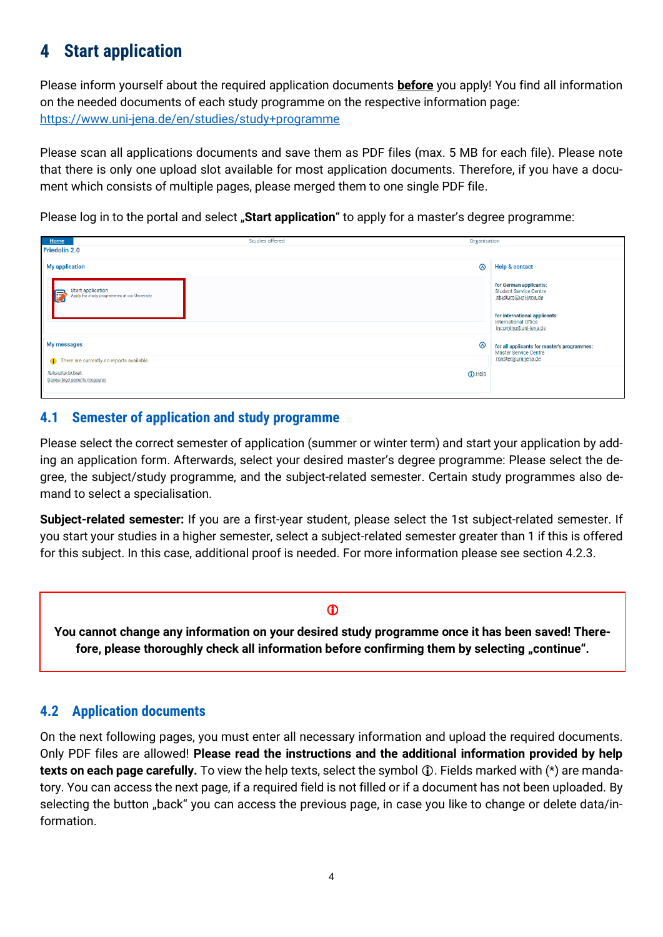#### <span id="page-3-0"></span>**Start application** 4

Please inform yourself about the required application documents **before** you apply! You find all information on the needed documents of each study programme on the respective information page: <https://www.uni-jena.de/en/studies/study+programme>

Please scan all applications documents and save them as PDF files (max. 5 MB for each file). Please note that there is only one upload slot available for most application documents. Therefore, if you have a document which consists of multiple pages, please merged them to one single PDF file.

Please log in to the portal and select "Start application" to apply for a master's degree programme:

| Organisation  |                                                                                                                                         |
|---------------|-----------------------------------------------------------------------------------------------------------------------------------------|
|               |                                                                                                                                         |
| ⊛             | <b>Help &amp; contact</b>                                                                                                               |
|               | for German applicants:<br><b>Student Service Centre</b><br>studium@uni-jena.de<br>for international applicants:<br>International Office |
|               | incoming@uni-jena.de                                                                                                                    |
| ◎             | for all applicants for master's programmes:<br><b>Master Service Centre</b>                                                             |
|               | master@uni-jena.de                                                                                                                      |
| <b>O</b> Help |                                                                                                                                         |
|               |                                                                                                                                         |

### <span id="page-3-1"></span>**4.1 Semester of application and study programme**

Please select the correct semester of application (summer or winter term) and start your application by adding an application form. Afterwards, select your desired master's degree programme: Please select the degree, the subject/study programme, and the subject-related semester. Certain study programmes also demand to select a specialisation.

**Subject-related semester:** If you are a first-year student, please select the 1st subject-related semester. If you start your studies in a higher semester, select a subject-related semester greater than 1 if this is offered for this subject. In this case, additional proof is needed. For more information please see section 4.2.3.

### $\bf \Phi$

**You cannot change any information on your desired study programme once it has been saved! There**fore, please thoroughly check all information before confirming them by selecting "continue".

### <span id="page-3-2"></span>**4.2 Application documents**

On the next following pages, you must enter all necessary information and upload the required documents. Only PDF files are allowed! **Please read the instructions and the additional information provided by help texts on each page carefully.** To view the help texts, select the symbol  $\hat{U}$ . Fields marked with (\*) are mandatory. You can access the next page, if a required field is not filled or if a document has not been uploaded. By selecting the button "back" you can access the previous page, in case you like to change or delete data/information.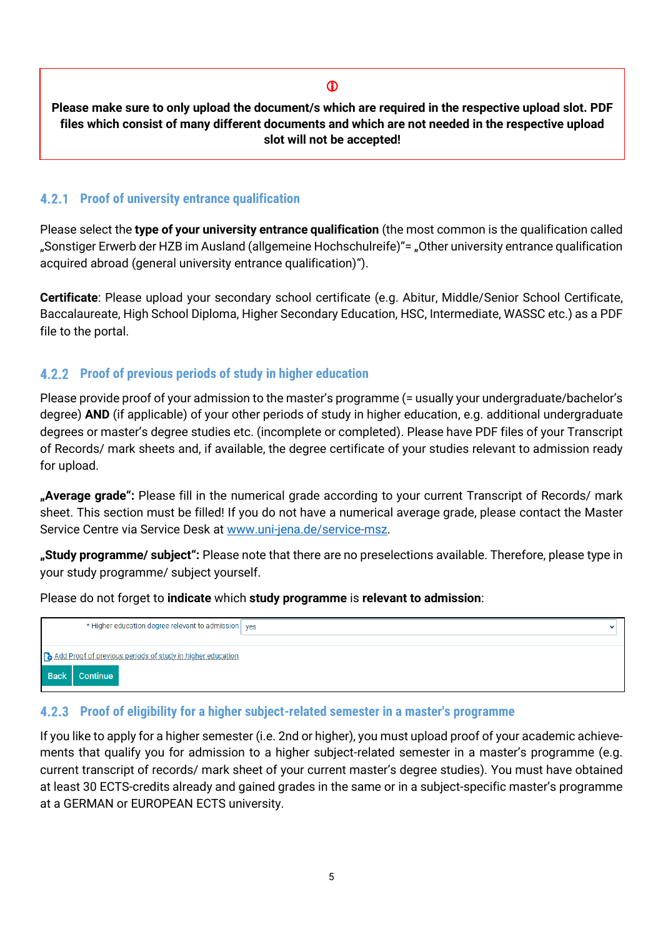### $\bf \Phi$

**Please make sure to only upload the document/s which are required in the respective upload slot. PDF files which consist of many different documents and which are not needed in the respective upload slot will not be accepted!**

### <span id="page-4-0"></span>**Proof of university entrance qualification**

Please select the **type of your university entrance qualification** (the most common is the qualification called "Sonstiger Erwerb der HZB im Ausland (allgemeine Hochschulreife)"= "Other university entrance qualification acquired abroad (general university entrance qualification)").

**Certificate**: Please upload your secondary school certificate (e.g. Abitur, Middle/Senior School Certificate, Baccalaureate, High School Diploma, Higher Secondary Education, HSC, Intermediate, WASSC etc.) as a PDF file to the portal.

### <span id="page-4-1"></span>**Proof of previous periods of study in higher education**

Please provide proof of your admission to the master's programme (= usually your undergraduate/bachelor's degree) **AND** (if applicable) of your other periods of study in higher education, e.g. additional undergraduate degrees or master's degree studies etc. (incomplete or completed). Please have PDF files of your Transcript of Records/ mark sheets and, if available, the degree certificate of your studies relevant to admission ready for upload.

**"Average grade":** Please fill in the numerical grade according to your current Transcript of Records/ mark sheet. This section must be filled! If you do not have a numerical average grade, please contact the Master Service Centre via Service Desk at [www.uni-jena.de/service-msz.](https://servicedesk.uni-jena.de/plugins/servlet/desk/portal/124?requestGroup=375)

**"Study programme/ subject":** Please note that there are no preselections available. Therefore, please type in your study programme/ subject yourself.

Please do not forget to **indicate** which **study programme** is **relevant to admission**:

| * Higher education degree relevant to admission ves        | $\check{ }$ |
|------------------------------------------------------------|-------------|
| Add Proof of previous periods of study in higher education |             |
| <b>Back</b><br>Continue                                    |             |

### <span id="page-4-2"></span>**Proof of eligibility for a higher subject-related semester in a master's programme**

If you like to apply for a higher semester (i.e. 2nd or higher), you must upload proof of your academic achievements that qualify you for admission to a higher subject-related semester in a master's programme (e.g. current transcript of records/ mark sheet of your current master's degree studies). You must have obtained at least 30 ECTS-credits already and gained grades in the same or in a subject-specific master's programme at a GERMAN or EUROPEAN ECTS university.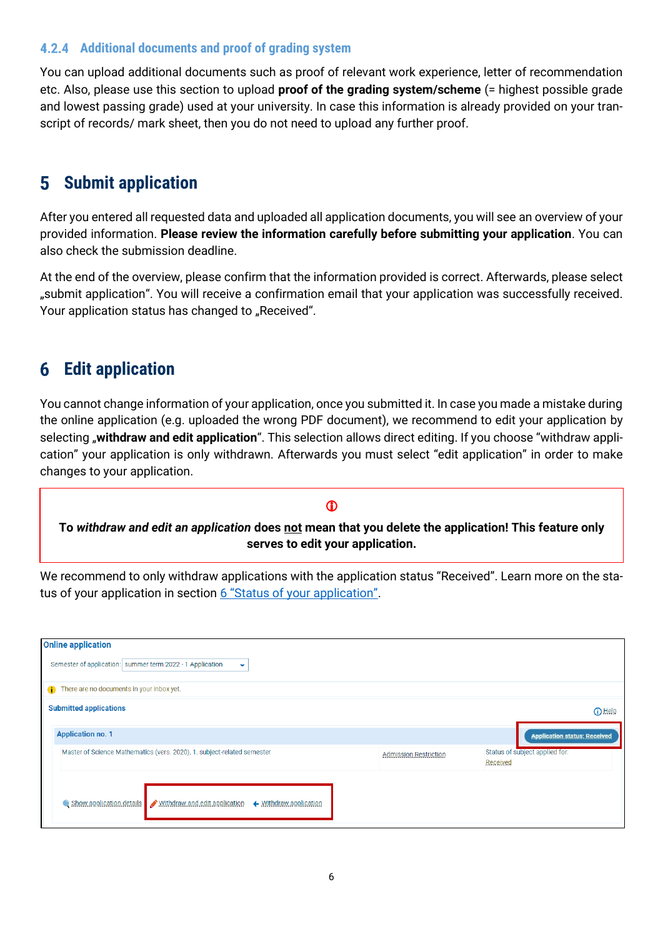### <span id="page-5-0"></span>**Additional documents and proof of grading system**

You can upload additional documents such as proof of relevant work experience, letter of recommendation etc. Also, please use this section to upload **proof of the grading system/scheme** (= highest possible grade and lowest passing grade) used at your university. In case this information is already provided on your transcript of records/ mark sheet, then you do not need to upload any further proof.

#### <span id="page-5-1"></span>**Submit application** 5

After you entered all requested data and uploaded all application documents, you will see an overview of your provided information. **Please review the information carefully before submitting your application**. You can also check the submission deadline.

At the end of the overview, please confirm that the information provided is correct. Afterwards, please select "submit application". You will receive a confirmation email that your application was successfully received. Your application status has changed to "Received".

#### <span id="page-5-2"></span>**Edit application**  $\boldsymbol{6}$

You cannot change information of your application, once you submitted it. In case you made a mistake during the online application (e.g. uploaded the wrong PDF document), we recommend to edit your application by selecting "**withdraw and edit application**". This selection allows direct editing. If you choose "withdraw application" your application is only withdrawn. Afterwards you must select "edit application" in order to make changes to your application.

### **To** *withdraw and edit an application* **does not mean that you delete the application! This feature only serves to edit your application.**

 $\bf{D}$ 

We recommend to only withdraw applications with the application status "Received". Learn more on the sta-tus of your application in section [6 "Status of your application"](#page-6-0).

| <b>Online application</b>                                                     |                              |                                            |
|-------------------------------------------------------------------------------|------------------------------|--------------------------------------------|
| Semester of application: summer term 2022 - 1 Application<br>$\checkmark$     |                              |                                            |
| There are no documents in your inbox yet.                                     |                              |                                            |
| <b>Submitted applications</b>                                                 |                              | <b>O</b> Help                              |
| <b>Application no. 1</b>                                                      |                              | <b>Application status: Received</b>        |
| Master of Science Mathematics (vers. 2020), 1. subject-related semester       | <b>Admission Restriction</b> | Status of subject applied for:<br>Received |
| Show application details Withdraw and edit application + Withdraw application |                              |                                            |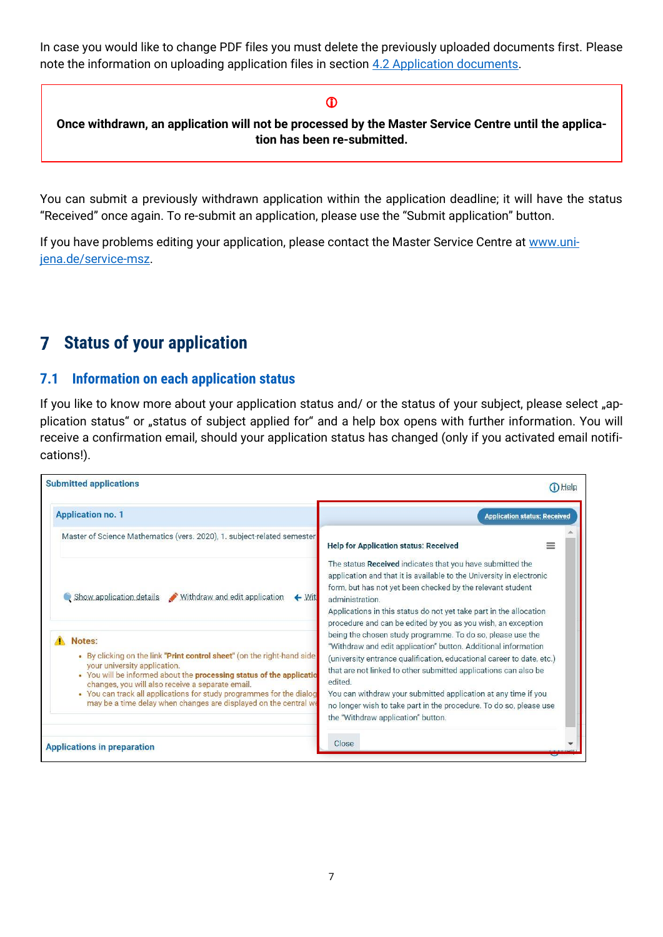In case you would like to change PDF files you must delete the previously uploaded documents first. Please note the information on uploading application files in section [4.2 Application documents.](#page-3-2)

### $\bf \Phi$

**Once withdrawn, an application will not be processed by the Master Service Centre until the application has been re-submitted.**

You can submit a previously withdrawn application within the application deadline; it will have the status "Received" once again. To re-submit an application, please use the "Submit application" button.

If you have problems editing your application, please contact the Master Service Centre at [www.uni](http://www.uni-jena.de/service-msz)[jena.de/service-msz.](http://www.uni-jena.de/service-msz)

#### <span id="page-6-0"></span>**Status of your application** 7

### <span id="page-6-1"></span>**7.1 Information on each application status**

If you like to know more about your application status and/ or the status of your subject, please select "application status" or "status of subject applied for" and a help box opens with further information. You will receive a confirmation email, should your application status has changed (only if you activated email notifications!).

| <b>Submitted applications</b>                                                                                                                                                                                                                                                                                                                                                             | Help                                                                                                                                                                                                                                                                                                                                                                                                                                                              |
|-------------------------------------------------------------------------------------------------------------------------------------------------------------------------------------------------------------------------------------------------------------------------------------------------------------------------------------------------------------------------------------------|-------------------------------------------------------------------------------------------------------------------------------------------------------------------------------------------------------------------------------------------------------------------------------------------------------------------------------------------------------------------------------------------------------------------------------------------------------------------|
| <b>Application no. 1</b>                                                                                                                                                                                                                                                                                                                                                                  | <b>Application status: Received</b>                                                                                                                                                                                                                                                                                                                                                                                                                               |
| Master of Science Mathematics (vers. 2020), 1. subject-related semester                                                                                                                                                                                                                                                                                                                   | <b>Help for Application status: Received</b><br>≕                                                                                                                                                                                                                                                                                                                                                                                                                 |
| Withdraw and edit application<br>Show application details<br>$\leftarrow$ With                                                                                                                                                                                                                                                                                                            | The status Received indicates that you have submitted the<br>application and that it is available to the University in electronic<br>form, but has not yet been checked by the relevant student<br>administration<br>Applications in this status do not yet take part in the allocation<br>procedure and can be edited by you as you wish, an exception                                                                                                           |
| Notes:<br>. By clicking on the link "Print control sheet" (on the right-hand side<br>your university application.<br>• You will be informed about the processing status of the applicatio<br>changes, you will also receive a separate email.<br>• You can track all applications for study programmes for the dialog<br>may be a time delay when changes are displayed on the central we | being the chosen study programme. To do so, please use the<br>"Withdraw and edit application" button. Additional information<br>(university entrance qualification, educational career to date, etc.)<br>that are not linked to other submitted applications can also be<br>edited.<br>You can withdraw your submitted application at any time if you<br>no longer wish to take part in the procedure. To do so, please use<br>the "Withdraw application" button. |
| <b>Applications in preparation</b>                                                                                                                                                                                                                                                                                                                                                        | Close                                                                                                                                                                                                                                                                                                                                                                                                                                                             |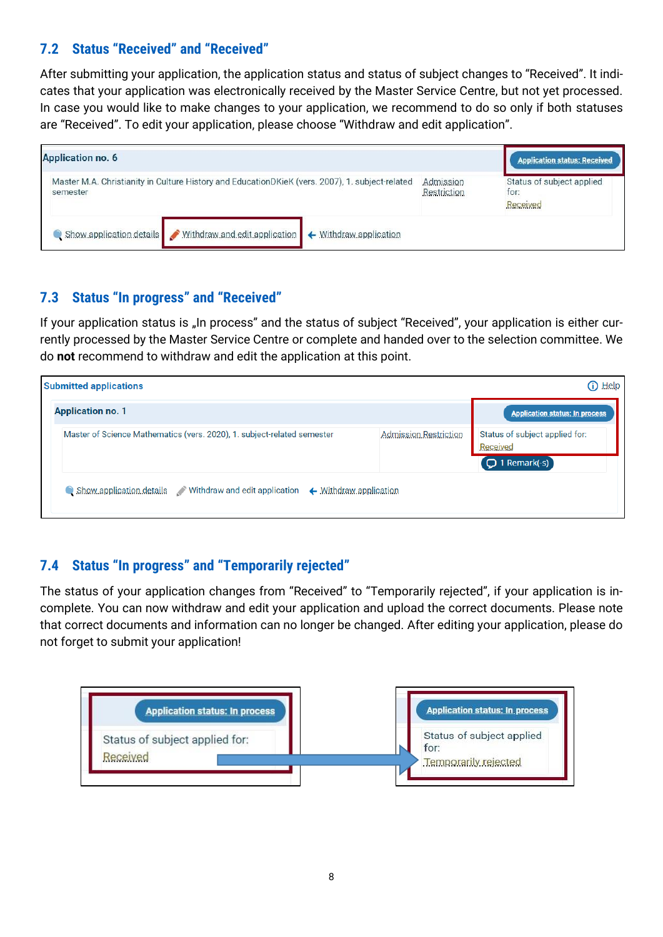### <span id="page-7-0"></span>**7.2 Status "Received" and "Received"**

After submitting your application, the application status and status of subject changes to "Received". It indicates that your application was electronically received by the Master Service Centre, but not yet processed. In case you would like to make changes to your application, we recommend to do so only if both statuses are "Received". To edit your application, please choose "Withdraw and edit application".

| <b>Application no. 6</b> |                                                                                                 |                        |                          | <b>Application status: Received</b>           |
|--------------------------|-------------------------------------------------------------------------------------------------|------------------------|--------------------------|-----------------------------------------------|
| semester                 | Master M.A. Christianity in Culture History and EducationDKieK (vers. 2007), 1. subject-related |                        | Admission<br>Restriction | Status of subject applied<br>for:<br>Received |
| Show application details | Withdraw and edit application                                                                   | ← Withdraw.application |                          |                                               |

### <span id="page-7-1"></span>**7.3 Status "In progress" and "Received"**

If your application status is "In process" and the status of subject "Received", your application is either currently processed by the Master Service Centre or complete and handed over to the selection committee. We do **not** recommend to withdraw and edit the application at this point.

| <b>Submitted applications</b>                                                 |                       | $\bf{0}$ Help                                                  |
|-------------------------------------------------------------------------------|-----------------------|----------------------------------------------------------------|
| <b>Application no. 1</b>                                                      |                       | <b>Application status: In process</b>                          |
| Master of Science Mathematics (vers. 2020), 1. subject-related semester       | Admission Restriction | Status of subject applied for:<br>Received<br>$Q$ 1 Remark(-s) |
| Show application details Withdraw and edit application + Withdraw application |                       |                                                                |

### <span id="page-7-2"></span>**7.4 Status "In progress" and "Temporarily rejected"**

The status of your application changes from "Received" to "Temporarily rejected", if your application is incomplete. You can now withdraw and edit your application and upload the correct documents. Please note that correct documents and information can no longer be changed. After editing your application, please do not forget to submit your application!

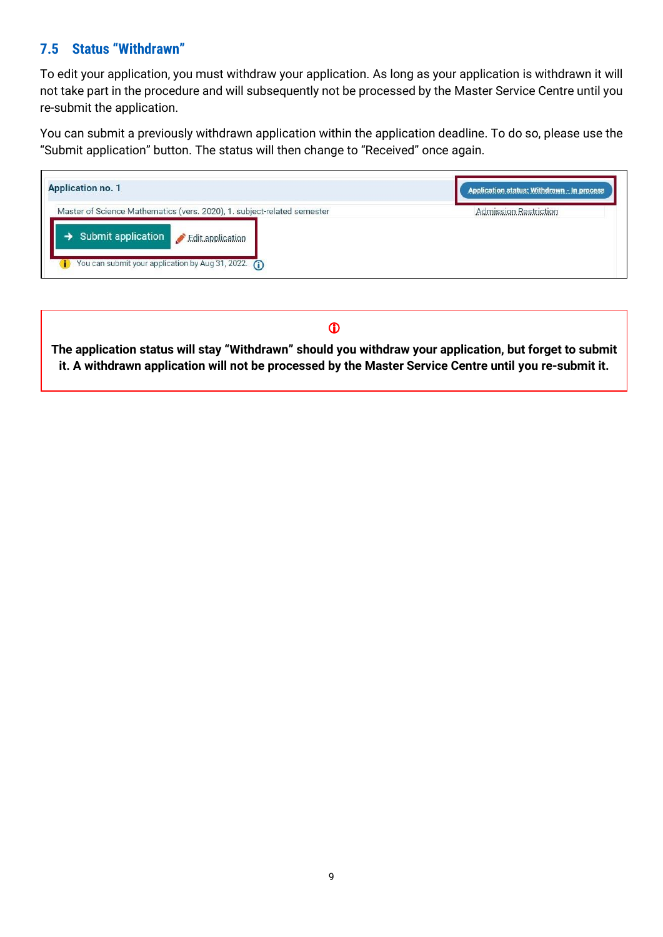### <span id="page-8-0"></span>**7.5 Status "Withdrawn"**

To edit your application, you must withdraw your application. As long as your application is withdrawn it will not take part in the procedure and will subsequently not be processed by the Master Service Centre until you re-submit the application.

You can submit a previously withdrawn application within the application deadline. To do so, please use the "Submit application" button. The status will then change to "Received" once again.

| <b>Application no. 1</b>                                                | Application status: Withdrawn - In process |  |
|-------------------------------------------------------------------------|--------------------------------------------|--|
| Master of Science Mathematics (vers. 2020), 1. subject-related semester | Admission Restriction                      |  |
| Submit application <i>Edit application</i>                              |                                            |  |
| You can submit your application by Aug 31, 2022. $\bigcirc$             |                                            |  |

### $\mathbf 0$

**The application status will stay "Withdrawn" should you withdraw your application, but forget to submit it. A withdrawn application will not be processed by the Master Service Centre until you re-submit it.**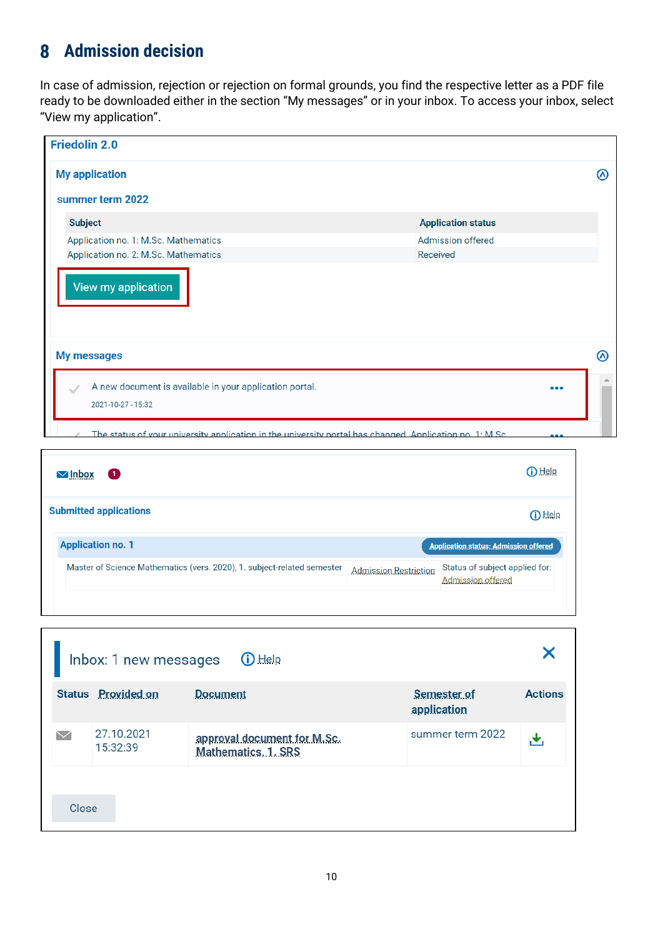# <span id="page-9-0"></span>**Admission decision**

In case of admission, rejection or rejection on formal grounds, you find the respective letter as a PDF file ready to be downloaded either in the section "My messages" or in your inbox. To access your inbox, select "View my application".

| <b>Friedolin 2.0</b>                                                                                      |                           |  |
|-----------------------------------------------------------------------------------------------------------|---------------------------|--|
| <b>My application</b>                                                                                     |                           |  |
| summer term 2022                                                                                          |                           |  |
| <b>Subject</b>                                                                                            | <b>Application status</b> |  |
| Application no. 1: M.Sc. Mathematics                                                                      | <b>Admission offered</b>  |  |
| Application no. 2: M.Sc. Mathematics                                                                      | Received                  |  |
| View my application<br>My messages                                                                        |                           |  |
| A new document is available in your application portal.<br>2021-10-27 - 15:32                             |                           |  |
| The status of your university application in the university portal has changed. Application no $1: M$ Sc. |                           |  |

| O<br><b>MInbox</b>                                                      |                              | (i) Help                                            |
|-------------------------------------------------------------------------|------------------------------|-----------------------------------------------------|
| <b>Submitted applications</b>                                           |                              | $\bigcap$ Help                                      |
| <b>Application no. 1</b>                                                |                              | Application status: Admission offered               |
| Master of Science Mathematics (vers. 2020), 1. subject-related semester | <b>Admission Restriction</b> | Status of subject applied for:<br>Admission offered |

| Inbox: 1 new messages<br>$\bigcirc$ Help |                        |                                                    |                            |                |
|------------------------------------------|------------------------|----------------------------------------------------|----------------------------|----------------|
|                                          | Status Provided on     | Document                                           | Semester of<br>application | <b>Actions</b> |
|                                          | 27.10.2021<br>15:32:39 | approval document for M.Sc.<br>Mathematics, 1, SRS | summer term 2022           |                |
| Close                                    |                        |                                                    |                            |                |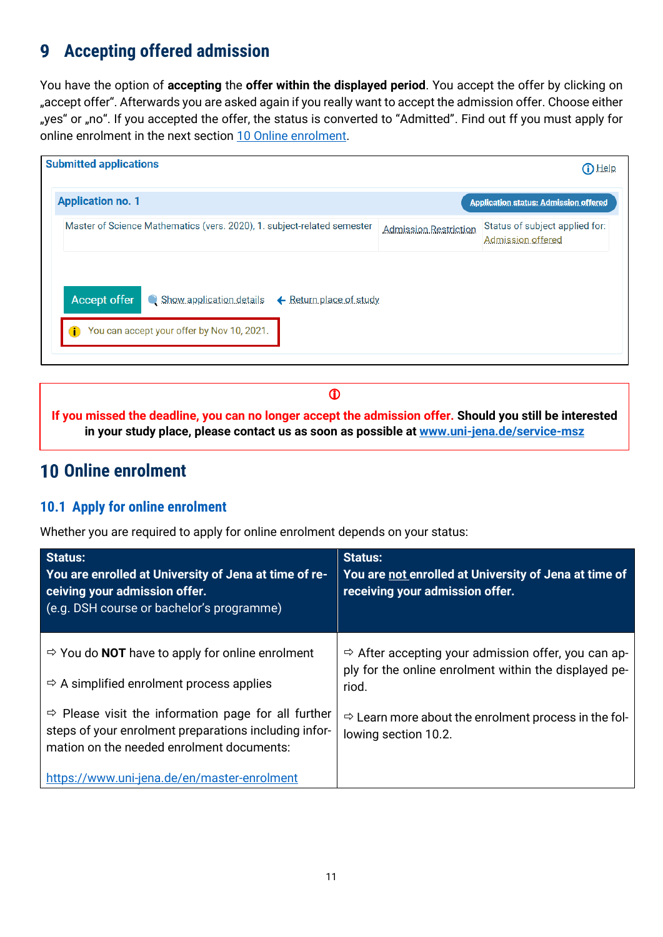#### <span id="page-10-0"></span>**Accepting offered admission** 9

You have the option of **accepting** the **offer within the displayed period**. You accept the offer by clicking on "accept offer". Afterwards you are asked again if you really want to accept the admission offer. Choose either "yes" or "no". If you accepted the offer, the status is converted to "Admitted". Find out ff you must apply for online enrolment in the next section [10 Online enrolment.](#page-10-1)

|                                                                         | <b>D</b> Help                                       |
|-------------------------------------------------------------------------|-----------------------------------------------------|
|                                                                         | <b>Application status: Admission offered</b>        |
| Admission Restriction                                                   | Status of subject applied for:<br>Admission offered |
|                                                                         |                                                     |
|                                                                         |                                                     |
|                                                                         |                                                     |
| Master of Science Mathematics (vers. 2020), 1. subject-related semester | ← Return place of study                             |

 $\mathbf 0$ 

**If you missed the deadline, you can no longer accept the admission offer. Should you still be interested in your study place, please contact us as soon as possible at [www.uni-jena.de/service-msz](https://servicedesk.uni-jena.de/plugins/servlet/desk/portal/124?requestGroup=375)**

## <span id="page-10-1"></span>**10 Online enrolment**

### <span id="page-10-2"></span>**10.1 Apply for online enrolment**

Whether you are required to apply for online enrolment depends on your status:

| <b>Status:</b><br>You are enrolled at University of Jena at time of re-<br>ceiving your admission offer.<br>(e.g. DSH course or bachelor's programme)                 | <b>Status:</b><br>You are not enrolled at University of Jena at time of<br>receiving your admission offer.                        |
|-----------------------------------------------------------------------------------------------------------------------------------------------------------------------|-----------------------------------------------------------------------------------------------------------------------------------|
| $\Rightarrow$ You do <b>NOT</b> have to apply for online enrolment<br>$\Rightarrow$ A simplified enrolment process applies                                            | $\Rightarrow$ After accepting your admission offer, you can ap-<br>ply for the online enrolment within the displayed pe-<br>riod. |
| $\Rightarrow$ Please visit the information page for all further<br>steps of your enrolment preparations including infor-<br>mation on the needed enrolment documents: | $\Rightarrow$ Learn more about the enrolment process in the fol-<br>lowing section 10.2.                                          |
| https://www.uni-jena.de/en/master-enrolment                                                                                                                           |                                                                                                                                   |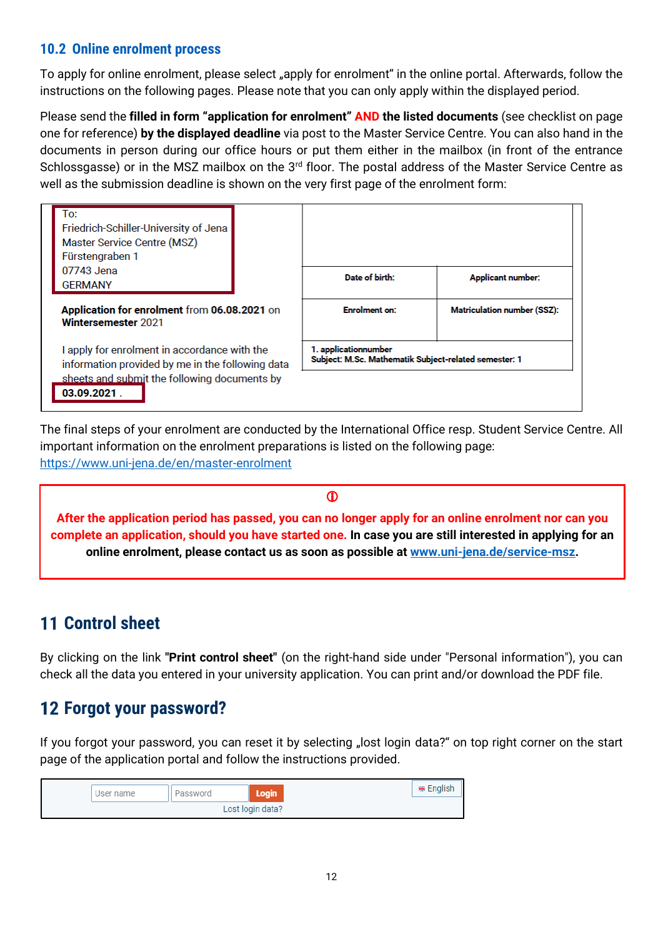### <span id="page-11-0"></span>**10.2 Online enrolment process**

To apply for online enrolment, please select "apply for enrolment" in the online portal. Afterwards, follow the instructions on the following pages. Please note that you can only apply within the displayed period.

Please send the **filled in form "application for enrolment" AND the listed documents** (see checklist on page one for reference) **by the displayed deadline** via post to the Master Service Centre. You can also hand in the documents in person during our office hours or put them either in the mailbox (in front of the entrance Schlossgasse) or in the MSZ mailbox on the 3<sup>rd</sup> floor. The postal address of the Master Service Centre as well as the submission deadline is shown on the very first page of the enrolment form:

| To:<br>Friedrich-Schiller-University of Jena<br>Master Service Centre (MSZ)<br>Fürstengraben 1                                                                  |  |                                                                               |                                    |
|-----------------------------------------------------------------------------------------------------------------------------------------------------------------|--|-------------------------------------------------------------------------------|------------------------------------|
| 07743 Jena<br><b>GERMANY</b>                                                                                                                                    |  | Date of birth:                                                                | <b>Applicant number:</b>           |
| Application for enrolment from 06.08.2021 on<br>Wintersemester 2021                                                                                             |  | <b>Enrolment on:</b>                                                          | <b>Matriculation number (SSZ):</b> |
| I apply for enrolment in accordance with the<br>information provided by me in the following data<br>sheets and submit the following documents by<br>03.09.2021. |  | 1. applicationnumber<br>Subject: M.Sc. Mathematik Subject-related semester: 1 |                                    |

The final steps of your enrolment are conducted by the International Office resp. Student Service Centre. All important information on the enrolment preparations is listed on the following page: <https://www.uni-jena.de/en/master-enrolment>



# <span id="page-11-1"></span>**11 Control sheet**

By clicking on the link **"Print control sheet"** (on the right-hand side under "Personal information"), you can check all the data you entered in your university application. You can print and/or download the PDF file.

# <span id="page-11-2"></span>**Forgot your password?**

If you forgot your password, you can reset it by selecting "lost login data?" on top right corner on the start page of the application portal and follow the instructions provided.